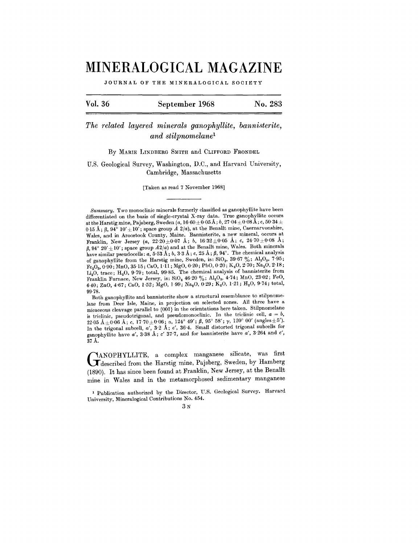## **MINERALOGICAL MAGAZINE**

JOURNAL OF THE MINERALOGICAL SOCIETY

| Vol. 36 | September 1968 | No. 283 |
|---------|----------------|---------|
|---------|----------------|---------|

*The related layered minerals ganophyllite, bannisterite, and stilpnomelaneI*

By MARIE LINDBERG SMITH and CLIFFORD FRONDEL

U.S. Geological Survey, Washington, D.C., and Harvard University, Cambridge, Massachusetts

[Taken as read 7 November 1968]

Both ganophyllite and bannisterite show a structural resemblance to stilpnomelane from Deer Isle, Maine, in projection on selected zones. All three have a micaceous cleavage parallel to  $\{001\}$  in the orientations here taken. Stilpnomelane is triclinic, pseudotrigonal, and pseudomonoclinic. In the triclinic cell,  $a = b$ ,  $22.05 \text{ Å }_{\pm}0.06 \text{ Å}; c, 17.70 \pm 0.06; \alpha, 124^{\circ}49'; \beta, 95^{\circ}58'; \gamma, 120^{\circ}00' \text{ (angles } \pm 5').$ In the trigonal subcell,  $a'$ ,  $3.2 \text{ Å}$ ; *c'*,  $36.4$ . Small distorted trigonal subcells for ganophyllite have *a',* 3,38 A; c' 37'7, and for bannisterite have *a',* 3.264 and *c',* 37 A.

GANOPHYLLITE, a complex manganese silicate, was first described from the Harstig mine, Pajsberg, Sweden, by Hamber ANOPHYLLITE, a complex manganese silicate, was first (1890). It has since been found at Franklin, New Jersey, at the Benallt mine in Wales and in the metamorphosed sedimentary manganese

1 publication authorized by the Director, U.S. Geological Survey. Harvard University, Mineralogical Contributions No. 454.

 $3<sub>N</sub>$ 

*Summary.* Two monoclinic minerals formerly classified as ganophyllite have been differentiated on the basis of single-crystal X-ray data. True ganophyllite occurs at the Harstig mine, Pajsberg, Sweden *(a, 16'60* $\pm$ 0'05Å; *b, 27'04* $\pm$ 0'08Å; *c*, 50'34 $\pm$ 0.15 Å;  $\beta$ ,  $94^{\circ}$  10' $\pm$ 10'; space group *A*  $2/a$ ), at the Benallt mine, Caernarvonshire, Wales, and in Aroostook County, Maine. Bannisterite, a new mineral, occurs at Franklin, New Jersey  $(a, 22.20 \pm 0.07 \text{ Å}; b, 16.32 \pm 0.05 \text{ Å}; c, 24.70 \pm 0.08 \text{ Å};$  $f_1$ ,  $94^\circ$   $20' \pm 10'$ ; space group  $A2/a$ ) and at the Benallt mine, Wales. Both minerals have similar pseudocells:  $a, 5.53 \text{ Å}$ ;  $b, 3.3 \text{ Å}$ ;  $c, 25 \text{ Å}$ ;  $\beta, 94^\circ$ . The chemical analysis of ganophyllite from the Harstig mine, Sweden, is:  $\text{SiO}_2$ , 39.67 %; Al<sub>2</sub>O<sub>3</sub>, 7.95;  $Fe<sub>2</sub>O<sub>3</sub>, 0.90; MnO, 35.15; CaO, 1.11; MgO, 0.20; PbO, 0.20; K<sub>2</sub>O, 2.70; Na<sub>2</sub>O, 2.18;$ Li<sub>2</sub>O, trace; H<sub>2</sub>O, 9.79; total, 99.85. The chemical analysis of bannisterite from Franklin Furnace, New Jersey, is:  $\text{SiO}_2$  46.20 %; Al<sub>2</sub>O<sub>3</sub>, 4.74; MnO, 23.02; FeO, 6.40; ZnO, 4.67; CaO, 1.52; MgO, 1.99; Na<sub>2</sub>O, 0.29; K<sub>2</sub>O, 1.21; H<sub>2</sub>O, 9.74; total, 99,78.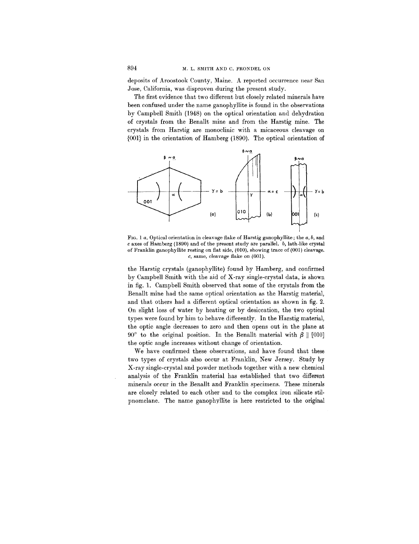deposits of Aroostook County, Maine. A reported occurrence near San Jose, California, was disproven during the present study.

The first evidence that two different but closely related minerals have been confused under the name ganophyllite is found in the observations by Campbell Smith (1948) on the optical orientation and dehydration of crystals from the Benallt mine and from the Harstig mine. The crystals from Harstig are monoclinic with a micaceous cleavage on {Ool} in the orientation of Hamberg (1890). The optical orientation of



FIG. 1 *a.* Optical orientation in cleavage flake of Harstig ganophyllite; the *a, b,* and c axes of Hamberg (1890) and of the present study are parallel. *b,* lath-like crystal of Franklin ganophyllite resting on flat side, (010), showing trace of (001) cleavage. *c,* same, cleavage flake on (001).

the Harstig crystals (ganophyllite) found by Hamberg, and confirmed by Campbell Smith with the aid of X-ray single-crystal data, is shown in fig. 1. Campbell Smith observed that some of the crystals from the Benallt mine had the same optical orientation as the Harstig material, and that others had a different optical orientation as shown in fig. 2. On slight loss of water by heating or by desiccation, the two optical types were found by him to behave differently. In the Harstig material, the optic angle decreases to zero and then opens out in the plane at 90° to the original position. In the Benallt material with  $\beta \parallel [010]$ the optic angle increases without change of orientation.

We have confirmed these observations, and have found that these two types of crystals also occur at Franklin, New Jersey. Study by X-ray single-crystal and powder methods together with a new chemical analysis of the Franklin material has established that two different minerals occur in the Benallt and Franklin specimens. These minerals are closely related to each other and to the complex iron silicate stilpnomelane. The name ganophyllite is here restricted to the original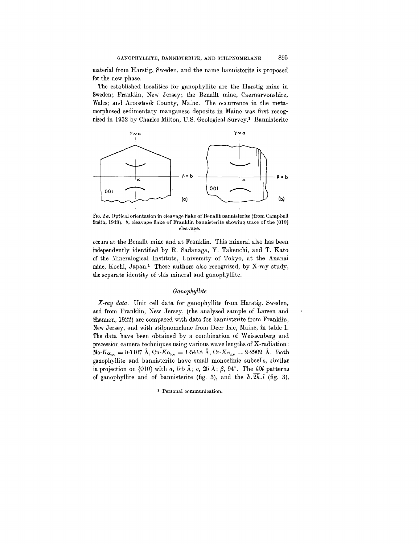material from Harstig, Sweden, and the name bannisterite is proposed for the new phase.

The established localities for ganophyllite are the Harstig mine in Sweden; Franklin, New Jersey; the Benallt mine, Caernarvonshire, Wales; and Aroostook County, Maine. The occurrence in the metamorphosed sedimentary manganese deposits in Maine was first recognized in 1952 by Charles Milton, U.S. Geological Survey.! Bannisterite



FIG. 2 *a.* Optical orientation in cleavage flake of Benallt bannisterite (from Campbell Smith, 1948). *b,* cleavage flake of Franklin bannisterite showing trace of the (010) cleavage.

occurs at the Benallt mine and at Franklin. This mineral also has been independently identified by R. Sadanaga, Y. Takeuchi, and T. Kato of the Mineralogical Institute, University of Tokyo, at the Ananai mine, Kochi, Japan.! These authors also recognized, by X-ray study, the separate identity of this mineral and ganophyllite.

## *Ganophyllite*

*X-ray data.* Unit cell data for ganophyllite from Harstig, Sweden, and from Franklin, New Jersey, (the analysed sample of Larsen and Shannon, 1922) are compared with data for bannisterite from Franklin, New Jersey, and with stilpnomelane from Deer Isle, Maine, in table 1. The data have been obtained by a combination of Weissenberg and precession camera techniques using various wave lengths of X-radiation:  $M_0-K_{\alpha_{av}}= 0.7107 \text{ Å}, \text{Cu-}K_{\alpha_{av}}= 1.5418 \text{ Å}, \text{Cr-}K_{\alpha_{av}}= 2.2909 \text{ Å}.$  Roth. ganophyllite and bannisterite have small monoclinic subcells, similar in projection on  $\{010\}$  with *a*, 5.5 Å; *c*, 25 Å;  $\beta$ , 94°. The *hOl* patterns of ganophyllite and of bannisterite (fig. 3), and the  $h.\overline{2h}.l$  (fig. 3),

1 Personal communication.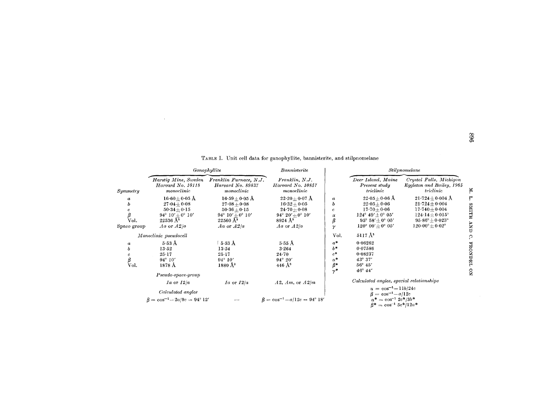|                               | Ganophyllite                                                                                                                     |                                                                                                                                  | Bannisterite                                                                                                                 |                                                              | Stilpnomelane                                                                                                                                                                                                     |                                                                                                                                                                             |                                           |  |  |  |
|-------------------------------|----------------------------------------------------------------------------------------------------------------------------------|----------------------------------------------------------------------------------------------------------------------------------|------------------------------------------------------------------------------------------------------------------------------|--------------------------------------------------------------|-------------------------------------------------------------------------------------------------------------------------------------------------------------------------------------------------------------------|-----------------------------------------------------------------------------------------------------------------------------------------------------------------------------|-------------------------------------------|--|--|--|
| Symmetry                      | Harstig Mine, Sweden<br>Harvard No. 10118<br>monoclinic                                                                          | Franklin Furnace, N.J.<br>Harvard No. 89837<br>monoclinic                                                                        | Franklin, N.J.<br>Harvard No. 10857<br>monoclinic                                                                            |                                                              | Deer Island, Maine<br>Present study<br>triclinic                                                                                                                                                                  | Crystal Falls, Michigan<br>Eggleton and Bailey, 1965<br>triclinic                                                                                                           | F.                                        |  |  |  |
| a<br>ь<br>Vol.<br>Space group | $16.60 \pm 0.05$ Å<br>$27.04 + 0.08$<br>$50.34 + 0.15$<br>$94^{\circ} 10' + 0^{\circ} 10'$<br>$22536\,\rm \AA^3$<br>Aa or $A2/a$ | $16.59+0.05$ Å<br>$27.08 + 0.08$<br>$50.36 + 0.15$<br>$94^{\circ} 10' + 0^{\circ} 10'$<br>22560 Å <sup>3</sup><br>$Aa$ or $A2/a$ | $22.20+0.07$ Å<br>$16.32 + 0.05$<br>$24.70 + 0.08$<br>$94^{\circ} 20' + 0^{\circ} 10'$<br>$8924 \text{ Å}^3$<br>Aa or $A2/a$ | $\boldsymbol{a}$<br>Ь<br>c.<br>$\alpha$<br>$\pmb{\beta}$     | $22.05 + 0.06$ Å<br>$22.05 + 0.06$<br>$17.70 + 0.06$<br>$124^{\circ} 49' \pm 0^{\circ} 05'$<br>$95^{\circ} 58' + 0^{\circ} 05'$<br>120° 00' $\pm$ 0° 05'                                                          | $21.724\pm0.004~\mathrm{\AA}$<br>$21.724 \pm 0.004$<br>$17.740 + 0.004$<br>$124.14 \pm 0.015^{\circ}$<br>$95.86^\circ \pm 0.023^\circ$<br>$120.00^{\circ} \pm 0.02^{\circ}$ | ٣<br><b>HTTMS</b><br><b>CNP</b>           |  |  |  |
|                               | Monoclinic pseudocell                                                                                                            |                                                                                                                                  |                                                                                                                              | Vol.                                                         | $5117 \text{ Å}^3$                                                                                                                                                                                                |                                                                                                                                                                             | ္                                         |  |  |  |
| a<br>b<br>β<br>Vol.           | $5.53$ Å<br>13.52<br>$25 - 17$<br>$94^\circ 10'$<br>1878 Å<br>Pseudo-space-group                                                 | $5.53~\mathrm{\AA}$<br>13.54<br>$25 - 17$<br>$94^\circ 10'$<br>$1880 \text{ Å}^3$                                                | $5.55$ Å<br>3.264<br>$24 - 70$<br>$94^\circ 20'$<br>446 Å <sup>3</sup>                                                       | $a*$<br>$h^*$<br>$c^*$<br>$\alpha^*$<br>$\beta^*$<br>$\nu^*$ | 0.06262<br>0.07586<br>0.08237<br>43° 37'<br>56° 45'<br>46° 44'                                                                                                                                                    |                                                                                                                                                                             | <b>FRONDEL</b><br>$\overline{\mathbf{z}}$ |  |  |  |
|                               | $Ia$ or $I2/a$<br>Calculated angles<br>$\beta = \cos^{-1} - 2a/9c = 94^{\circ} 12'$                                              | $Ia$ or $I2/a$                                                                                                                   | $A2, Am,$ or $A2/m$<br>$\beta = \cos^{-1} - a/12c = 94^{\circ} 18'$                                                          |                                                              | Calculated angles, special relationships<br>$\alpha = \cos^{-1} - 11b/24c$<br>$\beta = \cos^{-1} - a/12c$<br>$=$ cos <sup>-1</sup> $2c$ <sup>*</sup> /3 <i>b</i> <sup>*</sup><br>$\beta^* = \cos^{-1} 5c^*/12a^*$ |                                                                                                                                                                             |                                           |  |  |  |

TABLE I. Unit cell data for ganophyllite, bannisterite, and stilpnomelane

 $\sim 10^{11}$  km s  $^{-1}$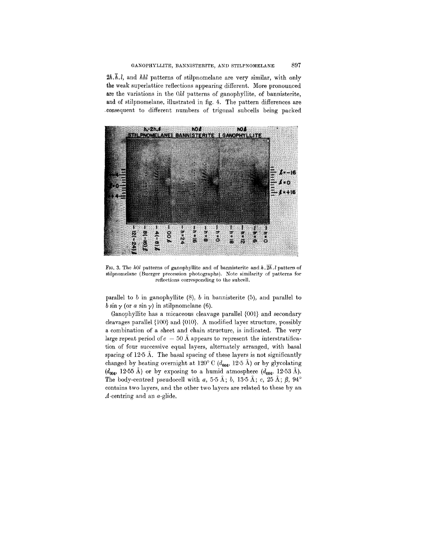$2h.\bar{h}.l$ , and  $hhl$  patterns of stilpnomelane are very similar, with only the weak superlattice reflections appearing different. More pronounced are the variations in the  $0kl$  patterns of ganophyllite, of bannisterite, and of stilpnomelane, illustrated in fig. 4. The pattern differences are .consequent to different numbers of trigonal subcells being packed



FIG. 3. The *hOl* patterns of ganophyllite and of bannisterite and *h. 2h.l* pattern of stilpnomelane (Buerger precession photographs). Note similarity of patterns for reflections corresponding to the subcell.

parallel to *b* in ganophyllite (8), *b* in bannisterite (5), and parallel to  $b \sin \gamma$  (or *a* sin  $\gamma$ ) in stilpnomelane (6).

Ganophyllite has a micaceous cleavage parallel {001} and secondary cleavages parallel {100} and {OlO}. A modified layer structure, possibly a combination of a sheet and chain structure, is indicated. The very large repeat period of  $c = 50 \text{ Å}$  appears to represent the interstratification of four successive equal layers, alternately arranged, with basal spacing of 12.5 Å. The basal spacing of these layers is not significantly changed by heating overnight at 120° C ( $d_{004}$ , 12.5 Å) or by glycolating  $(d_{\text{max}}, 12.55 \text{ Å})$  or by exposing to a humid atmosphere  $(d_{\text{max}}, 12.53 \text{ Å})$ . The body-centred pseudocell with *a*, 5.5 Å; *b*, 13.5 Å; *c*, 25 Å;  $\beta$ , 94° contains two layers, and the other two layers are related to these by an  $A$ -centring and an  $a$ -glide.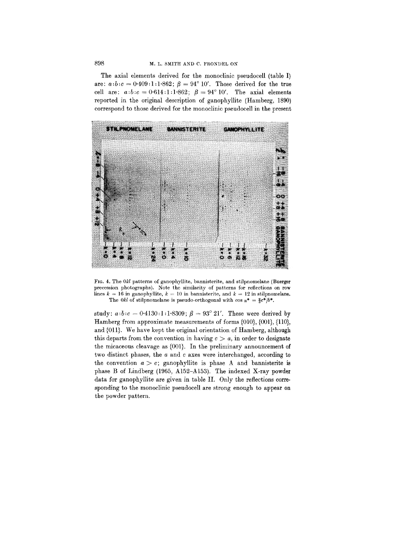The axial elements derived for the monoclinic pseudocell (table I) are:  $a:b:c = 0.409:1:1.862$ ;  $\beta = 94^{\circ}$  10'. Those derived for the true cell are:  $a:b:c = 0.614:1:1.862$ ;  $\beta = 94^{\circ} 10'$ . The axial elements reported in the original description of ganophyllite (Hamberg, 1890) correspond to those derived for the monoclinic pseudocell in the present



FIG. 4. The *Okl* patterns of ganophyllite, bannisterite, and stilpnomelane (Buerger precession photographs). Note the similarity of patterns for reflections on row lines  $k = 16$  in ganophyllite,  $k = 10$  in bannisterite, and  $k = 12$  in stilpnomelane. The *Okl* of stilpnomelane is pseudo-orthogonal with  $\cos \alpha^* = \frac{2}{3}c^*b^*$ .

study:  $a:b:c=0.4130:1:1.8309;~\beta=93^\circ~21'.$  These were derived by Hamberg from approximate measurements of forms {01O},{001}, {llO}, and {OIl}. We have kept the original orientation of Hamberg, although this departs from the convention in having  $c > a$ , in order to designate the micaceous cleavage as {Ool}. In the preliminary announcement of two distinct phases, the *a* and c axes were interchanged, according to the convention  $a > c$ ; ganophyllite is phase A and bannisterite is phase B of Lindberg (1965, AI52-AI53). The indexed X-ray powder data for ganophyllite are given in table **II.** Only the reflections corresponding to the monoclinic pseudocell are strong enough to appear on tbe powder pattern.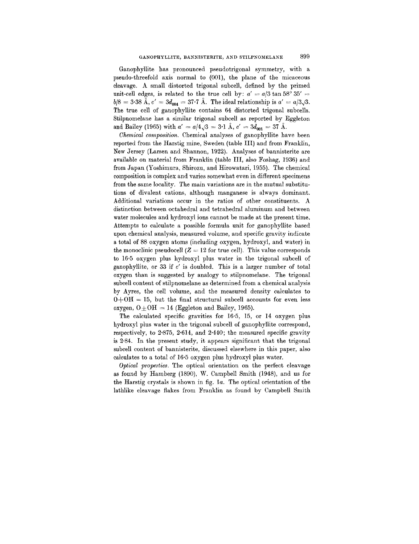Ganophyllite has pronounced pseudotrigonal symmetry, with a pseudo-threefold axis normal to (001), the plane of the micaceous cleavage. A small distorted trigonal subcell, defined by the primed unit-cell edges, is related to the true cell by:  $a' = a/3 \tan 58^\circ 35' =$  $b/8 = 3.38 \text{ Å}, c' = 3d_{004} = 37.7 \text{ Å}.$  The ideal relationship is  $a' = a/3\sqrt{3}$ . The true cell of ganophyllite contains 64 distorted trigonal subcells. Stilpnomelane has a similar trigonal subcell as reported by Eggleton and Bailey (1965) with  $a' = a/4\sqrt{3} = 3.1 \text{ Å}$ ,  $c' = 3d_{\text{net}} = 37 \text{ Å}$ .

*Chemical composition.* Chemical analyses of ganophyllite have been reported from the Harstig mine, Sweden (table III) and from Franklin, New Jersey (Larsen and Shannon, 1922). Analyses of bannisterite are available on material from Franklin (table III, also Foshag, 1936) and from Japan (Yoshimura, Shirozu, and Hirowatari, 1955). The chemical composition is complex and varies somewhat even in different specimens from the same locality. The main variations are in the mutual substitutions of divalent cations, although manganese is always dominant. Additional variations occur in the ratios of other constituents. A distinction between octahedral and tetrahedral aluminum and between water molecules and hydroxyl ions cannot be made at the present time. Attempts to calculate a possible formula unit for ganophyllite based upon chemical analysis, measured volume, and specific gravity indicate a total of 88 oxygen atoms (including oxygen, hydroxyl, and water) in the monoclinic pseudocell ( $Z = 12$  for true cell). This value correspond to 16'5 oxygen plus hydroxyl plus water in the trigonal subcell of ganophyllite, or 33 if c' is doubled. This is a larger number of total oxygen than is suggested by analogy to stilpnomelane. The trigonal subcell content of stilpnomelane as determined from a chemical analysis by Ayres, the cell volume, and the measured density calculates to  $O+OH = 15$ , but the final structural subcell accounts for even less oxygen,  $0\pm\mathrm{OH} = 14$  (Eggleton and Bailey, 1965).

The calculated specific gravities for 16.5, 15, or 14 oxygen plus hydroxyl plus water in the trigonal subcell of ganophyllite correspond, respectively, to  $2.875$ ,  $2.614$ , and  $2.440$ ; the measured specific gravity is 2.84. In the present study, it appears significant that the trigonal subcell content of bannisterite, discussed elsewhere in this paper, also calculates to a total of 16.5 oxygen plus hydroxyl plus water.

*Optical properties.* The optical orientation on the perfect cleavage as found by Hamberg (1890), W. Campbell Smith (1948), and us for the Harstig crystals is shown in fig. *1a.* The optical orientation of the lathlike cleavage flakes from Franklin as found by Campbell Smith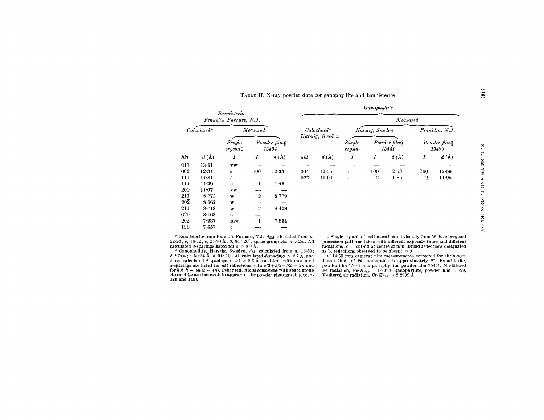| TABLE II. X-ray powder data for ganophyllite and bannisterite |  |  |
|---------------------------------------------------------------|--|--|
|---------------------------------------------------------------|--|--|

|                  |                                                     | Bannisterite           |                       |                         |     |                         |              | Ganophyllite          |                         |                       |                |  |
|------------------|-----------------------------------------------------|------------------------|-----------------------|-------------------------|-----|-------------------------|--------------|-----------------------|-------------------------|-----------------------|----------------|--|
|                  |                                                     | Franklin Furnace, N.J. |                       |                         |     |                         |              |                       | Measured                |                       |                |  |
|                  | $Calculated*$                                       |                        | Measured              |                         |     | Calculated <sup>+</sup> |              | Harstig, Sweden       |                         |                       | Franklin, N.J. |  |
|                  | Single<br>$crystal$ <sup><math>\dagger</math></sup> |                        | Powder film§<br>15464 |                         |     | Harstig, Sweden         |              | Powder film§<br>15441 |                         | Powder film§<br>15499 |                |  |
| hkl              | $d\left(\AA\right)$                                 | Ι                      | Ι                     | $d\left(\rm \AA\right)$ | hkl | d(A)                    | Ι            | Ι                     | $d\left(\rm \AA\right)$ | Ι                     | d(A)           |  |
| 011              | 13.61                                               | VW                     |                       |                         |     |                         |              |                       |                         |                       |                |  |
| 002              | 12.31                                               | s                      | 100                   | 12.33                   | 004 | 12.55                   | $\mathbf{c}$ | 100                   | $12 - 53$               | 100                   | 12.59          |  |
| пī               | $11-81$                                             | c                      |                       |                         | 022 | $11-90$                 | $\mathbf c$  | 2                     | $11-86$                 | 2                     | $11-95$        |  |
| 111              | $11-39$                                             | $\bf c$                | 1                     | 11.45                   |     |                         |              |                       |                         |                       |                |  |
| 200              | $11-07$                                             | vw                     |                       |                         |     |                         |              |                       |                         |                       |                |  |
| $21\overline{1}$ | $8 - 772$                                           | w                      | $\boldsymbol{2}$      | 8.779                   |     |                         |              |                       |                         |                       |                |  |
| $20\overline{2}$ | 8.562                                               | w                      |                       |                         |     |                         |              |                       |                         |                       |                |  |
| 211              | 8.418                                               | W                      | 2                     | 8.428                   |     |                         |              |                       |                         |                       |                |  |
| 020              | $8 - 163$                                           | a                      |                       |                         |     |                         |              |                       |                         |                       |                |  |
| 202              | 7.937                                               | mw                     |                       | 7.954                   |     |                         |              |                       |                         |                       |                |  |
| 120              | 7.657                                               | c                      |                       |                         |     |                         |              |                       |                         |                       |                |  |
|                  |                                                     |                        |                       |                         |     |                         |              |                       |                         |                       |                |  |

**FORT COLLANSITY CONTROLLED AT A SUBARITY OF A SET AND SET OF A SET OF A SUBARITY CONTROLLED ASSAUTED TO A SUBARITY CONTROLLED ASSAULT CONTROLLED ASSAUTED A SUBARITY CONTROLLED ASSAURATED ASSAURANCE OF A SUBARITY OF A SUB** 

 $\mathcal{A}$ 

those calculated d-spacings  $<$  2.7  $>$  2.0 Å consistent with measure d-spacings are listed for *hkl* reflections with  $h/3 + k/2 + l/2 = 2n$  and  $\int_0^L h(t, h) = 6n (l = 4n)$ . Other reflections consistent with space group<br>for  $h(1, h) = 6n (l = 4n)$ . Other reflections consistent with space group  $Aa$  or  $A2/a$  are too weak to appear on the powder photograph (exception or  $A2/a$  are too weak to appear on the powder photograph (exception)  $126$  and  $140$ ).

~ Single crystal intensities estimated visually from Weissenberg and precession patterns taken with different exposure times and different  $r$ adiations:  $\mathbf{c} = \text{cut-off}$  at centre of film. Broad reflections designate as b, reflections observed to be absent  $=$  a.<br>
§ 114'59 mm camera; film measurements corrected for shrinkage.

Lower limit of  $2\theta$  measurable is approximately  $8^\circ$ . Bannisterite, powder film 15464 and ganophyllite, powder film 15441, Mn-filtered Fe radiation, Fe- $K_{\sigma{\bf a}\nu} = 1.9373$ ; ganophyllite, powder film 15499<br>V-filtered Cr radiation, Cr- $K_{\sigma{\bf a}\nu} = 2.2909$  Å.

 $\Xi$  $\ddot{r}$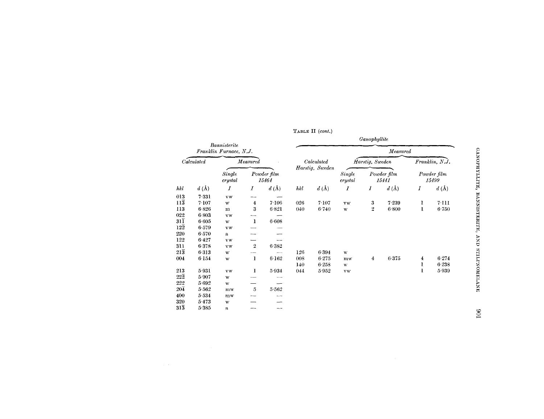|                  |                     |                                        |                   |                            |     |                               |                     | Ganophyllite            |                      |   |                         |
|------------------|---------------------|----------------------------------------|-------------------|----------------------------|-----|-------------------------------|---------------------|-------------------------|----------------------|---|-------------------------|
|                  |                     | Bannisterite<br>Franklin Furnace, N.J. |                   |                            |     |                               |                     |                         | Measured             |   |                         |
|                  | Calculated          |                                        | $\emph{Measured}$ |                            |     | Calculated<br>Harstig, Sweden |                     | Harstig, Sweden         |                      |   | Franklin, N.J.          |
|                  |                     | <b>Single</b><br>$crystal$             |                   | Powder film<br>15464       |     |                               | Single<br>$crystal$ |                         | Powder film<br>15441 |   | Powder film<br>15499    |
| hkl              | $d\left(\AA\right)$ | Ι                                      | Ι                 | $d\left(\mathbf{A}\right)$ | hkl | $d\left(\AA\right)$           | I                   | Ι                       | $d\left(\AA\right)$  | I | $d\left(\rm \AA\right)$ |
| 013              | 7331                | <b>VW</b>                              |                   |                            |     |                               |                     |                         |                      |   |                         |
| $11\overline{3}$ | 7.107               | W                                      | 4                 | 7.106                      | 026 | 7.107                         | <b>VW</b>           | 3                       | 7.239                | 1 | 7·111                   |
| 113              | 6.826               | m                                      | $\overline{3}$    | 6.821                      | 040 | 6.740                         | W                   | $\overline{2}$          | $6 - 800$            | ı | 6.750                   |
| 022              | 6.803               | VW                                     |                   |                            |     |                               |                     |                         |                      |   |                         |
| $31\overline{1}$ | 6.605               | W                                      | 1                 | $6 - 608$                  |     |                               |                     |                         |                      |   |                         |
| $12\overline{2}$ | 6.579               | vw                                     |                   |                            |     |                               |                     |                         |                      |   |                         |
| 220              | 6.570               | a                                      |                   |                            |     |                               |                     |                         |                      |   |                         |
| 122              | 6.427               | VW                                     |                   |                            |     |                               |                     |                         |                      |   |                         |
| 311              | 6.378               | <b>VW</b>                              | $\mathbf{2}$      | 6.382                      |     |                               |                     |                         |                      |   |                         |
| $21\overline{3}$ | 6313                | W                                      |                   |                            | 126 | 6.394                         | $\mathbf{W}$        |                         |                      |   |                         |
| 004              | 6.154               | W                                      | 1                 | $6 - 162$                  | 008 | $6 - 275$                     | $m$ w               | $\overline{\mathbf{4}}$ | 6.375                | 4 | 6.274                   |
|                  |                     |                                        |                   |                            | 140 | 6.258                         | W                   |                         |                      | ı | 6 238                   |
| 213              | 5.931               | <b>vw</b>                              | 1                 | 5.934                      | 044 | 5.952                         | ${\bf v} {\bf w}$   |                         |                      | 1 | 5.939                   |
| $22\overline{2}$ | 5.907               | w                                      |                   |                            |     |                               |                     |                         |                      |   |                         |
| 222              | 5.692               | W                                      |                   |                            |     |                               |                     |                         |                      |   |                         |
| $20\overline{4}$ | 5.562               | $m$ w                                  | $\overline{5}$    | 5.562                      |     |                               |                     |                         |                      |   |                         |
| 400              | 5.534               | $m$ w                                  |                   |                            |     |                               |                     |                         |                      |   |                         |
| 320              | 5.473               | W                                      |                   |                            |     |                               |                     |                         |                      |   |                         |
| $31\overline{3}$ | 5.385               | a                                      |                   |                            |     |                               |                     |                         |                      |   |                         |

TABLE II (cont.)

106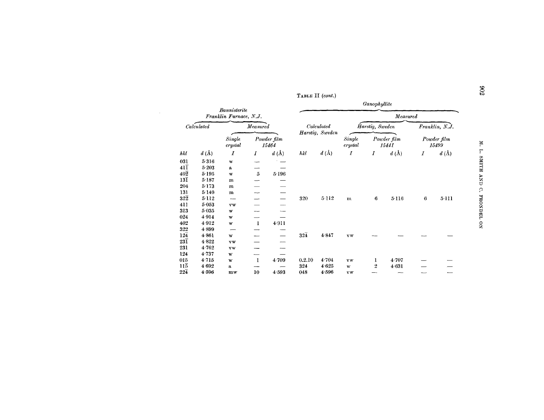|                         |                                        |                      |                         |     |                     |                   | Ganophyllite |                      |                      |                  |
|-------------------------|----------------------------------------|----------------------|-------------------------|-----|---------------------|-------------------|--------------|----------------------|----------------------|------------------|
|                         | Bannisterite<br>Franklin Furnace, N.J. |                      |                         |     |                     |                   |              | Measured             |                      |                  |
| lated                   |                                        | Measured             |                         |     | Calculated          | Harstig, Sweden   | Franklin, N. |                      |                      |                  |
|                         | Single<br>crystal                      | Powder film<br>15464 |                         |     | Harstig, Sweden     | Single<br>crystal |              | Powder film<br>15441 | Powder film<br>15499 |                  |
| $d\left(\rm \AA\right)$ | Ι                                      | 1                    | $d\left(\rm \AA\right)$ | hkl | $d\left(\AA\right)$ | I                 | Ι            | $d\left(\AA\right)$  | 1                    | $d\ (\hbox{\AA}$ |
| 5.316                   | w                                      |                      |                         |     |                     |                   |              |                      |                      |                  |
| 5.203                   | $\mathbf{a}$                           |                      |                         |     |                     |                   |              |                      |                      |                  |
| $5 - 195$               | W                                      | 5                    | 5.196                   |     |                     |                   |              |                      |                      |                  |
| $5 - 187$               | m                                      |                      |                         |     |                     |                   |              |                      |                      |                  |
| $5 - 173$               | m                                      |                      |                         |     |                     |                   |              |                      |                      |                  |
| 5.149                   | m                                      |                      |                         |     |                     |                   |              |                      |                      |                  |
| $5 - 112$               |                                        |                      |                         | 320 | $5 - 112$           | m                 | 6            | $5 - 116$            | 6                    | 5·11             |
| 5.053                   | VW                                     |                      |                         |     |                     |                   |              |                      |                      |                  |
| 5.035                   | W                                      |                      |                         |     |                     |                   |              |                      |                      |                  |
| 4.914                   | W                                      |                      |                         |     |                     |                   |              |                      |                      |                  |
| 4.912                   | W                                      | -1                   | 4.911                   |     |                     |                   |              |                      |                      |                  |
| 4.899                   |                                        |                      |                         |     |                     |                   |              |                      |                      |                  |
| 4.861                   | w                                      |                      |                         | 324 | 4.847               | vw                |              |                      |                      |                  |
| 4822                    | v w                                    |                      |                         |     |                     |                   |              |                      |                      |                  |
| $\cdot$ $\cdot$ $\cdot$ |                                        |                      |                         |     |                     |                   |              |                      |                      |                  |

TABLE II (cont.)

 $\sim 10^7$ 

 $\hbar kl$ 

|                 |                         | <i>Bannisterite</i><br>Franklin Furnace, N.J. |          |                         |                  |                               |                   |                 | Measured                |   |                         |
|-----------------|-------------------------|-----------------------------------------------|----------|-------------------------|------------------|-------------------------------|-------------------|-----------------|-------------------------|---|-------------------------|
|                 | Calculated              |                                               | Measured |                         |                  | Calculated<br>Harstig, Sweden |                   | Harstig, Sweden |                         |   | Franklin, N.J.          |
|                 |                         | Single<br>crystal                             |          | Powder film<br>15464    |                  |                               | Single<br>crystal |                 | Powder film<br>15441    |   | Powder film<br>15499    |
| kl              | $d\left(\rm \AA\right)$ | $\boldsymbol{I}$                              | Ι        | $d\left(\rm \AA\right)$ | hkl              | $d\left(\AA\right)$           | 1                 | 1               | $d\left(\rm \AA\right)$ | 1 | $d\left(\rm \AA\right)$ |
| 31              | 5.316                   | w                                             |          |                         |                  |                               |                   |                 |                         |   |                         |
| ıī              | 5.203                   | a                                             |          |                         |                  |                               |                   |                 |                         |   |                         |
| $0\overline{2}$ | $5 - 195$               | W                                             | $\bf 5$  | 5.196                   |                  |                               |                   |                 |                         |   |                         |
| 3Ī              | $5 - 187$               | m                                             |          |                         |                  |                               |                   |                 |                         |   |                         |
| 04              | $5 - 173$               | m                                             |          |                         |                  |                               |                   |                 |                         |   |                         |
| 31              | 5.149                   | $\mathbf m$                                   |          |                         |                  |                               |                   |                 |                         |   |                         |
| $2\overline{2}$ | $5 - 112$               | ---                                           |          |                         | 320              | $5 - 112$                     | $\mathbf m$       | 6               | 5.116                   | 6 | 5·111                   |
| 11              | 5.053                   | VW                                            |          |                         |                  |                               |                   |                 |                         |   |                         |
| 13              | 5.035                   | w                                             |          |                         |                  |                               |                   |                 |                         |   |                         |
| 24              | 4.914                   | W                                             |          |                         |                  |                               |                   |                 |                         |   |                         |
| $_{02}$         | 4.912                   | W                                             | 1        | 4.911                   |                  |                               |                   |                 |                         |   |                         |
| 22              | 4.899                   |                                               |          |                         |                  |                               |                   |                 |                         |   |                         |
| $2\overline{4}$ | 4 8 6 1                 | w                                             |          |                         | $32\overline{4}$ | 4.847                         | vw                |                 |                         |   |                         |
| 3Ī              | 4822                    | <b>VW</b>                                     |          |                         |                  |                               |                   |                 |                         |   |                         |
| 31              | 4.762                   | <b>VW</b>                                     |          |                         |                  |                               |                   |                 |                         |   |                         |
| 24              | 4.737                   | W                                             |          |                         |                  |                               |                   |                 |                         |   |                         |
| 15              | 4.715                   | W                                             | 1        | 4.709                   | 0.2.10           | 4.704                         | VW                | ı               | 4.707                   |   |                         |
| 15              | 4.692                   | a                                             |          |                         | 324              | 4 6 2 5                       | W                 | 2               | 4.631                   |   |                         |
| 24              | 4.596                   | mw                                            | 10       | 4.593                   | 048              | 4.596                         | <b>VW</b>         |                 |                         |   |                         |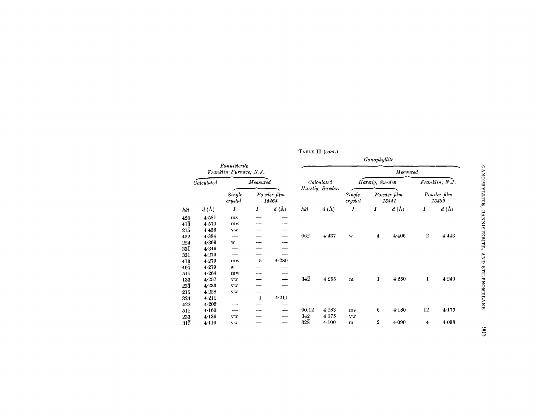|                  |            |                                        |                |                      |                  |                               |                   | Ganophyllite    |                      |                  |                      |
|------------------|------------|----------------------------------------|----------------|----------------------|------------------|-------------------------------|-------------------|-----------------|----------------------|------------------|----------------------|
|                  |            | Pannisterite<br>Franklin Furnace, N.J. |                |                      |                  |                               |                   |                 | Measured             |                  |                      |
|                  | Calculated |                                        | Measured       |                      |                  | Calculated<br>Harstig, Sweden |                   | Harstig, Sweden |                      |                  | Franklin, N.J.       |
|                  |            | Single<br>crystal                      |                | Powder film<br>15464 |                  |                               | Single<br>crystal |                 | Powder film<br>15441 |                  | Powder film<br>15499 |
| hkl              | d(A)       | 1                                      | Ι              | $d\;$ (Å)            | hki              | $d\;({\rm \AA})$              | I                 | Ι               | $d\;(\text{\AA})$    | $\boldsymbol{I}$ | $d\;$ (Å)            |
| 420              | 4 5 8 1    | ms                                     |                |                      |                  |                               |                   |                 |                      |                  |                      |
| $41\overline{3}$ | 4.570      | m <sub>w</sub>                         |                |                      |                  |                               |                   |                 |                      |                  |                      |
| $21\overline{5}$ | 4456       | $\mathbf{v}\mathbf{w}$                 |                |                      |                  |                               |                   |                 |                      |                  |                      |
| $42\overline{2}$ | 4.384      | --                                     |                |                      | 062              | 4 4 3 7                       | W                 | $\overline{4}$  | 4 4 0 6              | $\boldsymbol{2}$ | 4.443                |
| 224              | 4.369      | w                                      |                |                      |                  |                               |                   |                 |                      |                  |                      |
| $33\bar{1}$      | 4.346      |                                        |                |                      |                  |                               |                   |                 |                      |                  |                      |
| 331              | 4.279      |                                        |                |                      |                  |                               |                   |                 |                      |                  |                      |
| 413              | 4.279      | mw                                     | $\overline{5}$ | 4.280                |                  |                               |                   |                 |                      |                  |                      |
| $40\bar{4}$      | 4.279      | a                                      |                |                      |                  |                               |                   |                 |                      |                  |                      |
| $51\bar{1}$      | 4.264      | mw                                     |                |                      |                  |                               |                   |                 |                      |                  |                      |
| 133              | 4.257      | $\mathbf{v}\mathbf{w}$                 |                |                      | $34\overline{2}$ | 4.255                         | m                 | $\mathbf{1}$    | 4.250                | 1                | 4.249                |
| $23\overline{3}$ | 4.233      | $\mathbf{v}\mathbf{w}$                 |                |                      |                  |                               |                   |                 |                      |                  |                      |
| 215              | 4.228      | $\mathbf{v}\mathbf{w}$                 |                |                      |                  |                               |                   |                 |                      |                  |                      |
| $32\bar{4}$      | 4.211      |                                        | $\mathbf{I}$   | 4.211                |                  |                               |                   |                 |                      |                  |                      |
| 422              | 4.209      |                                        |                |                      |                  |                               |                   |                 |                      |                  |                      |
| 511              | 4.160      | ----                                   |                |                      | 00.12            | 4 1 8 3                       | ms                | 6               | 4.180                | 12               | 4.175                |
| 233              | 4.136      | vw                                     |                |                      | 342              | 4.175                         | <b>VW</b>         |                 |                      |                  |                      |
| $31\overline{5}$ | $4 - 110$  | <b>VW</b>                              |                |                      | $32\overline{8}$ | 4.100                         | $\mathbf{m}$      | $\overline{2}$  | 4.090                | 4                | 4.098                |

TABLE II (cont.)

GANOPHYLLITE, BANNISTERITE, AND STILPNOMELANE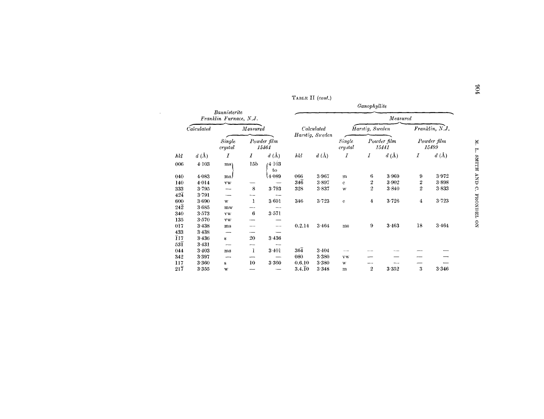| TABLE II $(cont.)$ |  |  |  |
|--------------------|--|--|--|
|--------------------|--|--|--|

 $\sim 10$ 

|                     |            |                                        |                 |                      |                     |                               |                   | Ganophyllite            |                      |                |                      |
|---------------------|------------|----------------------------------------|-----------------|----------------------|---------------------|-------------------------------|-------------------|-------------------------|----------------------|----------------|----------------------|
|                     |            | Bannisterite<br>Franklin Furnace, N.J. |                 |                      |                     |                               |                   |                         | Measured             |                |                      |
|                     | Calculated |                                        | Measured        |                      |                     | Calculated<br>Harstig, Sueden |                   | Harstig, Sweden         |                      |                | Franklin, N.J.       |
|                     |            | Single<br>crystal                      |                 | Powder film<br>15464 |                     |                               | Single<br>crystal |                         | Powder film<br>15441 |                | Powder film<br>15499 |
| hkl                 | d(A)       | Ι                                      | 1               | d(A)                 | hkl                 | d(A)                          | Ι                 | $\boldsymbol{I}$        | $d\left(\AA\right)$  | Ι              | d(A)                 |
| 006                 | 4.103      | ms)                                    | 15 <sub>b</sub> | (4.103)<br>to        |                     |                               |                   |                         |                      |                |                      |
| 040                 | 4.083      | ms)                                    |                 | 4.089                | 066                 | 3.967                         | m                 | 6                       | 3.969                | 9              | 3.972                |
| 140                 | 4.014      | VW                                     |                 |                      | $34\overline{6}$    | 3.897                         | $\mathbf{C}$      | 2                       | 3.902                | 2              | 3.898                |
| 333                 | 3.795      | ---                                    | 8               | 3793                 | 328                 | 3837                          | W                 | $\overline{2}$          | 3.840                | $\overline{2}$ | 3.833                |
| $42\bar{4}$         | 3.791      |                                        |                 |                      |                     |                               |                   |                         |                      |                |                      |
| 600                 | 3.690      | w                                      | 1               | 3.691                | 346                 | 3.723                         | $\mathbf{c}$      | $\overline{\mathbf{4}}$ | 3.726                | 4              | 3.723                |
| $24\overline{2}$    | 3.685      | mw                                     |                 |                      |                     |                               |                   |                         |                      |                |                      |
| 340                 | 3.573      | VW                                     | 6               | 3.571                |                     |                               |                   |                         |                      |                |                      |
| 135                 | 3.570      | VW                                     |                 |                      |                     |                               |                   |                         |                      |                |                      |
| 017                 | 3.438      | ms                                     |                 |                      | 0.2.14              | 3464                          | ms                | 9                       | 3 4 6 3              | 18             | 3.464                |
| 433                 | 3438       |                                        |                 |                      |                     |                               |                   |                         |                      |                |                      |
| $\overline{1}17$    | 3.436      | $\bf S$                                | 20              | 3436                 |                     |                               |                   |                         |                      |                |                      |
| $_{53\overline{1}}$ | 3.431      |                                        |                 |                      |                     |                               |                   |                         |                      |                |                      |
| 044                 | 3.403      | ms                                     | 1               | 3 4 0 1              | $36\overline{4}$    | 3404                          |                   |                         |                      |                |                      |
| 342                 | 3.397      |                                        |                 |                      | 080                 | 3.380                         | <b>VW</b>         |                         |                      |                |                      |
| 117                 | 3 3 6 0    | s                                      | 10              | 3 3 6 0              | 0.6.10              | 3.380                         | W                 |                         |                      |                |                      |
| $21\overline{7}$    | 3.355      | w                                      |                 |                      | $3.4.\overline{1}0$ | 3348                          | m                 | $\mathbf{2}$            | 3 3 5 2              | 3              | 3.346                |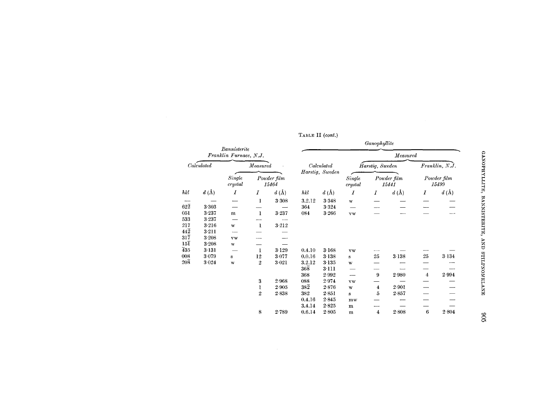|                  |                     | Bannisterite                                          |                |                     |                  |                         |                   | Ganophyllite            |                              |                |                         |
|------------------|---------------------|-------------------------------------------------------|----------------|---------------------|------------------|-------------------------|-------------------|-------------------------|------------------------------|----------------|-------------------------|
|                  |                     | Franklin Furnace, N.J.                                |                |                     |                  |                         |                   |                         | Measured                     |                |                         |
|                  | Calculated          | Measured<br>Single<br>Powder film<br>crystal<br>15464 |                |                     | Calculated       |                         | Harstig, Sweden   |                         |                              | Franklin, N.J. |                         |
|                  |                     |                                                       |                |                     | Harstig, Sweden  |                         | Single<br>crystal |                         | Powder film<br>15441         |                | Powder film<br>15499    |
| hkl              | $d\left(\AA\right)$ | 1                                                     | Ι              | $d\left(\AA\right)$ | hkl              | $d\left(\rm \AA\right)$ | $\boldsymbol{I}$  | I                       | $d\left(\mathrm{\AA}\right)$ | I              | $d\left(\rm \AA\right)$ |
|                  |                     |                                                       | 1              | 3.308               | 3.2.12           | 3.348                   | W                 |                         |                              |                |                         |
| $62\overline{2}$ | 3.303               |                                                       |                |                     | 364              | 3 3 2 4                 |                   |                         |                              |                |                         |
| 051              | 3.237               | m                                                     | 1              | 3.237               | 084              | 3.266                   | <b>vw</b>         |                         |                              |                |                         |
| 533              | 3.237               |                                                       |                |                     |                  |                         |                   |                         |                              |                |                         |
| 217              | 3.216               | w                                                     | $\mathbf{I}$   | 3.212               |                  |                         |                   |                         |                              |                |                         |
| $44\overline{2}$ | 3.211               |                                                       |                |                     |                  |                         |                   |                         |                              |                |                         |
| $31\overline{7}$ | 3 2 0 8             | <b>vw</b>                                             |                |                     |                  |                         |                   |                         |                              |                |                         |
| $15\overline{1}$ | 3.208               | $\mathbf{W}$                                          |                |                     |                  |                         |                   |                         |                              |                |                         |
| 435              | $3 - 131$           |                                                       | 1              | 3.129               | 0.4.10           | 3.168                   | vw                |                         |                              |                |                         |
| 008              | 3.079               | s                                                     | 12             | 3.077               | 0.0.16           | 3 1 3 8                 | s                 | 25                      | $3 - 138$                    | 25             | 3.134                   |
| $20\overline{8}$ | 3.024               | W                                                     | $\overline{2}$ | 3.021               | 3.2.12           | 3 1 3 5                 | $\bf W$           |                         |                              |                |                         |
|                  |                     |                                                       |                |                     | $36\overline{8}$ | 3.111                   |                   |                         |                              |                |                         |
|                  |                     |                                                       |                |                     | 368              | 2.992                   |                   | 9                       | 2.980                        | $\overline{4}$ | 2.994                   |
|                  |                     |                                                       | 3              | 2968                | 088              | 2.974                   | <b>VW</b>         |                         |                              |                |                         |
|                  |                     |                                                       | 1              | 2.905               | $38\overline{2}$ | 2.876                   | $\mathbf{W}$      | $\overline{\mathbf{4}}$ | 2.901                        |                |                         |
|                  |                     |                                                       | $\overline{2}$ | 2.838               | 382              | 2 851                   | s                 | 5                       | 2.857                        |                |                         |
|                  |                     |                                                       |                |                     | 0.4.16           | 2845                    | mw                |                         |                              |                |                         |
|                  |                     |                                                       |                |                     | 3.4.14           | 2825                    | ${\bf m}$         |                         |                              |                |                         |
|                  |                     |                                                       | 8              | 2.789               | 0.6.14           | 2.805                   | ${\bf m}$         | $\overline{4}$          | 2.808                        | 6              | 2.804                   |

| TABLE II (cont.) |  |
|------------------|--|
|------------------|--|

GANOPHYLLITE, BANNISTERITE, AND STILPNOMELANE

 $906$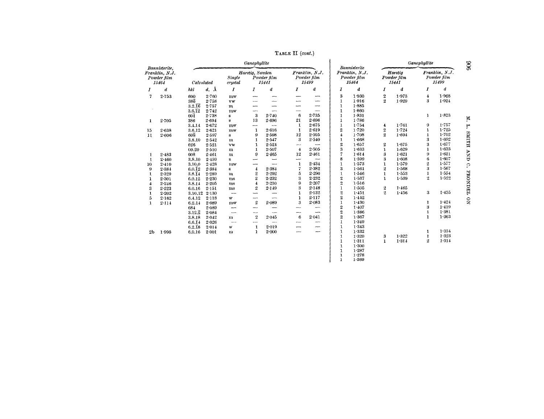TABLE II (cont.)

|                                                         |             | Ganophyllite         |              |                                             |                         |                                              | Bannisterite   |                          | Ganophyllite            |                                        |                  |                                 |                         |                                        |  |
|---------------------------------------------------------|-------------|----------------------|--------------|---------------------------------------------|-------------------------|----------------------------------------------|----------------|--------------------------|-------------------------|----------------------------------------|------------------|---------------------------------|-------------------------|----------------------------------------|--|
| Bannisterite,<br>Franklin, N.J.<br>Powder film<br>15464 |             | Calculated           |              | Harstig, Sweden<br><b>Sinale</b><br>crystal |                         | Powder film<br>Powder film<br>15499<br>15441 |                | Franklin, N.J.           |                         | Franklin, N.J.<br>Powder film<br>15464 |                  | Harstig<br>Powder film<br>15441 |                         | Franklin, N.J.<br>Powder film<br>15499 |  |
| 1                                                       | đ           | hkl                  | $d, \Lambda$ | I                                           | I                       | d                                            | I              | d                        | Ĩ                       | å                                      | 1                | d                               | I                       | d                                      |  |
| 7                                                       | 2.753       | 600                  | 2.760        | mw                                          | ---                     |                                              |                |                          | 3                       | 1.930                                  | $\,2\,$          | 1.973                           | $\overline{\mathbf{4}}$ | 1.968                                  |  |
|                                                         |             | 336                  | 2.758        | vw                                          |                         |                                              | --             | ---                      | 1                       | 1.916                                  | $\mathbf{2}$     | 1.929                           | 3                       | 1.924                                  |  |
|                                                         |             | $3.2.\overline{16}$  | 2.757        | $\mathbf{m}$                                | ∽                       | ┈                                            | -              | $\overline{\phantom{m}}$ | 1                       | 1.885                                  |                  |                                 |                         |                                        |  |
|                                                         |             | $3.6.\bar{1}\bar{2}$ | 2.742        | mw                                          | —-                      | --                                           | --             |                          | 1                       | 1.860                                  |                  |                                 |                         |                                        |  |
|                                                         |             | $60\bar{4}$          | 2.738        | s                                           | $\bf{3}$                | 2.740                                        | 6              | 2.735                    | 1                       | 1.831                                  |                  |                                 | 1                       | 1.823                                  |  |
| 1                                                       | 2.705       | 386                  | 2.694        | $\mathbf{s}$                                | 13                      | $2 - 696$                                    | 21             | $2 - 696$                | 1                       | 1.786                                  |                  |                                 |                         |                                        |  |
|                                                         |             | 3.4.14               | 2.672        | mw                                          | --                      | --                                           | 1              | 2.675                    | 1                       | 1.754                                  | 4                | 1.761                           | 9                       | 1.757                                  |  |
| 15                                                      | $2 - 638$   | 3.6.12               | 2.621        | mw                                          | 1                       | 2.616                                        | $\mathbf{1}$   | 2.619                    | 2                       | 1.720                                  | $\,2\,$          | 1.724                           | 1                       | 1.725                                  |  |
| 11                                                      | $2 - 606$   | $60\overline{8}$     | 2.597        | s                                           | 9                       | 2.598                                        | 12             | 2.595                    | 4                       | 1.708                                  | $\overline{2}$   | 1.694                           | 1                       | 1.702                                  |  |
|                                                         |             | 3.8.10               | 2.542        | m                                           | 1                       | 2.547                                        | 3              | 2.540                    | 1                       | 1.668                                  |                  |                                 | 3                       | 1.692                                  |  |
|                                                         |             | 626                  | 2.521        | vw                                          | 1                       | 2.524                                        | --             | -                        | 2                       | 1.657                                  | $\boldsymbol{2}$ | 1.675                           | 3                       | 1.677                                  |  |
|                                                         |             | 00.20                | 2.510        | m                                           | 1                       | 2.507                                        | $\overline{4}$ | 2.505                    | 3                       | 1.633                                  | $\mathbf{1}$     | 1.629                           | $\mathbf{1}$            | 1.633                                  |  |
| ı                                                       | $2 - 183$   | 608                  | 2.461        | m                                           | 9                       | 2.465                                        | 12             | 2.461                    | 7                       | 1.614                                  | 3                | 1.621                           | 9                       | 1.621                                  |  |
| 1                                                       | 2.460       | 3.8.10               | 2.459        | s                                           |                         | $\overline{\phantom{0}}$                     | --             | --                       | 8                       | 1.599                                  | 3                | 1.608                           | 6                       | 1.607                                  |  |
| 10                                                      | 2.410       | 3.10.0               | 2.428        | mw                                          | -                       | ست                                           | 1              | $2 - 434$                | ı                       | 1.573                                  | $\mathbf{1}$     | 1.579                           | 2                       | 1.577                                  |  |
| 9                                                       | 2.384       | 6.0.12               | 2.384        | $\bf s$                                     | $\overline{\mathbf{4}}$ | 2.384                                        | 7              | 2.382                    | 3                       | 1.561                                  | $\boldsymbol{2}$ | 1.568                           | 3                       | 1.567                                  |  |
| 1                                                       | $2 - 329$   | $3.8.\bar{1}4$       | 2.289        | $\mathbf{m}$                                | $\,2\,$                 | 2.292                                        | 5              | 2.290                    | $\mathbf{1}$            | 1.546                                  | $\mathbf{1}$     | 1.553                           | $\bf{1}$                | 1.554                                  |  |
| 1                                                       | $2 - 301$   | 6.0.12               | 2.230        | ms                                          | $\overline{2}$          | 2.232                                        | 3              | 2.232                    | $\overline{2}$          | 1.537                                  | 1                | 1.539                           | $\overline{2}$          | 1.522                                  |  |
| 4                                                       | $2 - 2 + 6$ | 3.8.14               | 2.205        | ms                                          | 4                       | $2 - 210$                                    | 9              | 2.207                    | $\overline{\mathbf{2}}$ | $1 - 516$                              |                  |                                 |                         |                                        |  |
| 3                                                       | $2 - 223$   | 6.0.16               | 2.151        | ms                                          | $\boldsymbol{2}$        | 2.149                                        | 3              | 2.148                    | 1                       | 1.505                                  | $\boldsymbol{2}$ | 1.465                           |                         |                                        |  |
| 1                                                       | 2.202       | 3.10.12              | 2.130        | $\overline{\phantom{a}}$                    |                         |                                              | 1              | $2 - 132$                | $\overline{2}$          | 1.451                                  | $\overline{2}$   | 1.456                           | 3                       | 1.455                                  |  |
| 5                                                       | 2.162       | 6.4.12               | 2.118        | w                                           | -                       | ---                                          | 1              | $2 - 117$                | $\overline{2}$          | 1.442                                  |                  |                                 |                         |                                        |  |
| $\mathbf{1}$                                            | 2.114       | 6.2.14               | $2 - 0.89$   | mw                                          | $\boldsymbol{2}$        | 2.089                                        | 3              | 2.083                    | I                       | 1.430                                  |                  |                                 | 1                       | 1.424                                  |  |
|                                                         |             | 684                  | 2.089        | --                                          | —⊶                      |                                              | ---            |                          | 2                       | 1.407                                  |                  |                                 | 3                       | 1.419                                  |  |
|                                                         |             | $3.12.\overline{2}$  | $2 - 084$    | -                                           | --                      | $\overline{\phantom{0}}$                     | --             | --                       | $\overline{2}$          | 1.386                                  |                  |                                 | 1                       | 1.381                                  |  |
|                                                         |             | 3.8.18               | 2.042        | $\mathbf{m}$                                | $\mathbf{2}$            | 2.045                                        | 6              | $2 - 041$                | $\overline{2}$          | 1.367                                  |                  |                                 | $\mathbf{1}$            | 1.363                                  |  |
|                                                         |             | 6.6.14               | 2.026        | $\overline{\phantom{a}}$                    | --                      | ---                                          | --             | --                       | 1                       | 1.349                                  |                  |                                 |                         |                                        |  |
|                                                         |             | $6.2.\overline{18}$  | 2.014        | w                                           | 1                       | 2.019                                        |                | -                        | 1                       | 1.343                                  |                  |                                 |                         |                                        |  |
| 2 <sub>b</sub>                                          | 1.998       | 6.0.16               | $2 - 001$    | $\mathbf{m}$                                | 1                       | $2 - 000$                                    | -              | -                        | 1                       | 1.332                                  |                  |                                 | ı                       | 1.334                                  |  |
|                                                         |             |                      |              |                                             |                         |                                              |                |                          | $\mathbf{1}$            | 1.320                                  | 3                | 1.322                           | 1                       | 1.323                                  |  |
|                                                         |             |                      |              |                                             |                         |                                              |                |                          | 1                       | 1:311                                  | $\mathbf{1}$     | 1.314                           | $\boldsymbol{2}$        | 1.314                                  |  |
|                                                         |             |                      |              |                                             |                         |                                              |                |                          | 1                       | 1.300                                  |                  |                                 |                         |                                        |  |
|                                                         |             |                      |              |                                             |                         |                                              |                |                          | 1                       | 1.287                                  |                  |                                 |                         |                                        |  |
|                                                         |             |                      |              |                                             |                         |                                              |                |                          | 1                       | 1.278                                  |                  |                                 |                         |                                        |  |
|                                                         |             |                      |              |                                             |                         |                                              |                |                          | 1                       | 1.269                                  |                  |                                 |                         |                                        |  |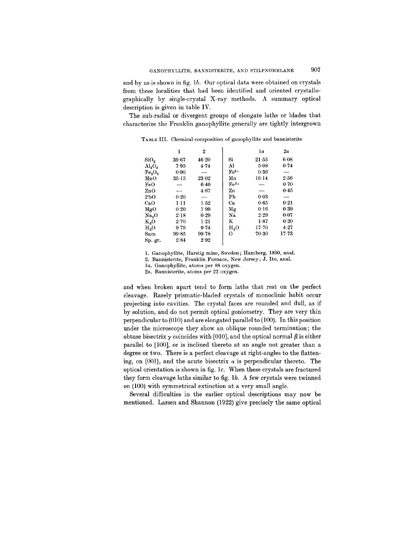and by us is shown in fig. lb. Our optical data were obtained on crystals from these localities that had been identified and oriented crystallographically by single-crystal X-ray methods. A summary optical description is given in table IV.

The sub-radial or divergent groups of elongate laths or blades that characterize the Franklin ganophyllite generally are tightly intergrown

|                   | ı         | 2        |                  | 1a        | 2a        |
|-------------------|-----------|----------|------------------|-----------|-----------|
| SiO <sub>2</sub>  | 39.67     | 46.20    | Si               | 21.55     | 6.08      |
| $\rm Al_2O_3$     | 7.95      | 4.74     | Al               | 5.08      | 0.74      |
| $Fe_{2}O_{3}$     | 0.90      |          | $Fe3+$           | 0.36      |           |
| MnO               | $35 - 15$ | 23.02    | Mn               | 16·14     | 256       |
| FeO               |           | $6 - 40$ | $Fe2+$           |           | 0.70      |
| $_{\rm ZnO}$      |           | 4.67     | Zn               |           | 0.45      |
| PbO               | 0.20      | -        | P <sub>b</sub>   | 0.03      |           |
| CaO               | 1·11      | 1.52     | Ca               | 0.65      | 0.21      |
| MgO               | 0.20      | 1.99     | Μg               | 0.16      | 0.39      |
| Na <sub>2</sub> O | 2.18      | 0.29     | Na               | 2.29      | 0.07      |
| $K_2O$            | 2.70      | 1.21     | K                | 1.87      | 0.20      |
| H <sub>2</sub> O  | $9 - 79$  | 9.74     | H <sub>2</sub> O | $17 - 70$ | 4.27      |
| Sum               | 99.85     | 99.78    | 0                | $70-30$   | $17 - 73$ |
| Sp. gr.           | 2.84      | 2.92     |                  |           |           |

TABLE III. Chemical composition of ganophyllite and bannisterite

1. Ganophyllite, Harstig mine, Sweden; Hamberg, 1890, anal.

2. Bannisterite, Franklin Furnace, New Jersey; J. Ito, anal.

*la.* Ganophyllite, atoms per 88 oxygen.

*2a.* Bannisterite, atoms per 22 oxygen.

and when broken apart tend to form laths that rest on the perfect cleavage. Rarely prismatic-bladed crystals of monoclinic habit occur projecting into cavities. The crystal faces are rounded and dull, as if by solution, and do not permit optical goniometry. They are very thin perpendicular to (010) and are elongated parallel to (100). In this position under the microscope they show an oblique rounded termination; the obtuse bisectrix  $\gamma$  coincides with [010], and the optical normal  $\beta$  is either parallel to [100], or is inclined thereto at an angle not greater than a degree or two. There is a perfect cleavage at right-angles to the flattening, on  $\{001\}$ , and the acute bisectrix  $\alpha$  is perpendicular thereto. The optical orientation is shown in fig. Ie. When these crystals are fractured they form cleavage laths similar to fig.  $1b$ . A few crystals were twinned on (100) with symmetrical extinction at a very small angle.

Several difficulties in the earlier optical descriptions may now be mentioned. Larsen and Shannon (1922) give precisely the same optical